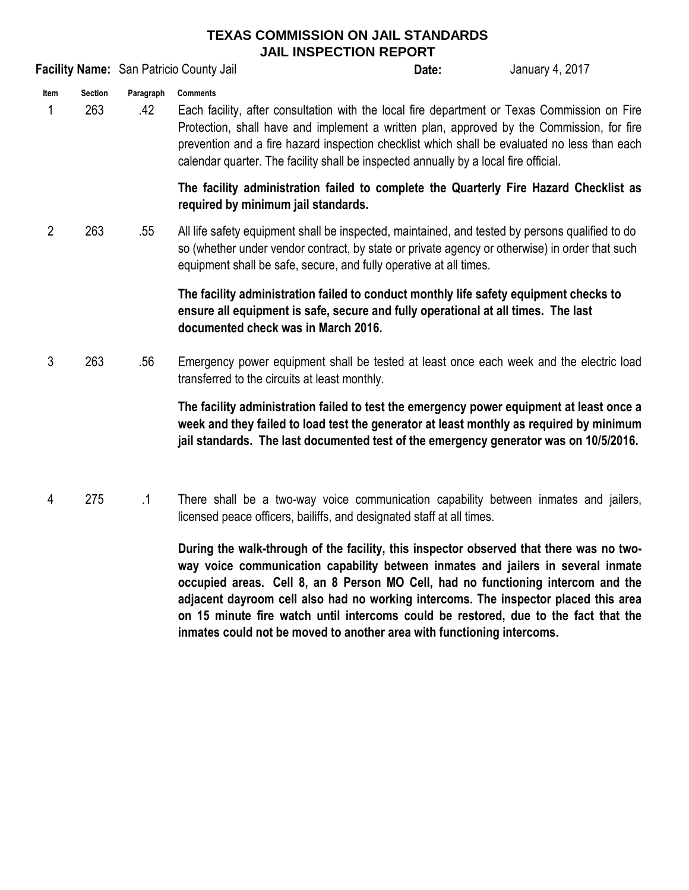## **TEXAS COMMISSION ON JAIL STANDARDS JAIL INSPECTION REPORT**

**Facility Name:** San Patricio County Jail **Server County 1, 2017 Date:** January 4, 2017

**Item Section Paragraph Comments**

1 263 .42 Each facility, after consultation with the local fire department or Texas Commission on Fire Protection, shall have and implement a written plan, approved by the Commission, for fire prevention and a fire hazard inspection checklist which shall be evaluated no less than each calendar quarter. The facility shall be inspected annually by a local fire official.

> **The facility administration failed to complete the Quarterly Fire Hazard Checklist as required by minimum jail standards.**

**Date:**

2 263 .55 All life safety equipment shall be inspected, maintained, and tested by persons qualified to do so (whether under vendor contract, by state or private agency or otherwise) in order that such equipment shall be safe, secure, and fully operative at all times.

> **The facility administration failed to conduct monthly life safety equipment checks to ensure all equipment is safe, secure and fully operational at all times. The last documented check was in March 2016.**

3 263 .56 Emergency power equipment shall be tested at least once each week and the electric load transferred to the circuits at least monthly.

> **The facility administration failed to test the emergency power equipment at least once a week and they failed to load test the generator at least monthly as required by minimum jail standards. The last documented test of the emergency generator was on 10/5/2016.**

4 275 .1 There shall be a two-way voice communication capability between inmates and jailers, licensed peace officers, bailiffs, and designated staff at all times.

> **During the walk-through of the facility, this inspector observed that there was no twoway voice communication capability between inmates and jailers in several inmate occupied areas. Cell 8, an 8 Person MO Cell, had no functioning intercom and the adjacent dayroom cell also had no working intercoms. The inspector placed this area on 15 minute fire watch until intercoms could be restored, due to the fact that the inmates could not be moved to another area with functioning intercoms.**